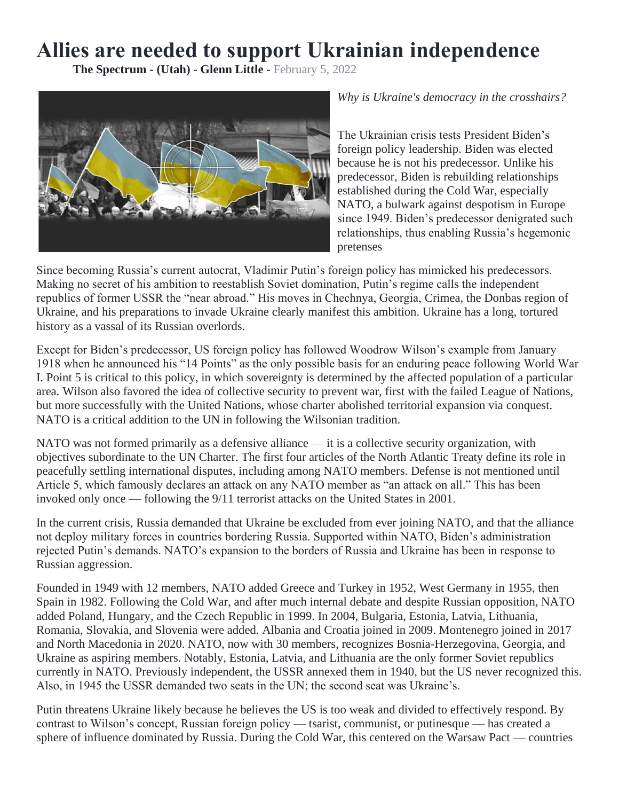## **Allies are needed to support Ukrainian independence**

**The Spectrum - (Utah) - Glenn Little -** February 5, 2022



*Why is Ukraine's democracy in the crosshairs?*

The Ukrainian crisis tests President Biden's foreign policy leadership. Biden was elected because he is not his predecessor. Unlike his predecessor, Biden is rebuilding relationships established during the Cold War, especially NATO, a bulwark against despotism in Europe since 1949. Biden's predecessor denigrated such relationships, thus enabling Russia's hegemonic pretenses

Since becoming Russia's current autocrat, Vladimir Putin's foreign policy has mimicked his predecessors. Making no secret of his ambition to reestablish Soviet domination, Putin's regime calls the independent republics of former USSR the "near abroad." His moves in Chechnya, Georgia, Crimea, the Donbas region of Ukraine, and his preparations to invade Ukraine clearly manifest this ambition. Ukraine has a long, tortured history as a vassal of its Russian overlords.

Except for Biden's predecessor, US foreign policy has followed Woodrow Wilson's example from January 1918 when he announced his "14 Points" as the only possible basis for an enduring peace following World War I. Point 5 is critical to this policy, in which sovereignty is determined by the affected population of a particular area. Wilson also favored the idea of collective security to prevent war, first with the failed League of Nations, but more successfully with the United Nations, whose charter abolished territorial expansion via conquest. NATO is a critical addition to the UN in following the Wilsonian tradition.

NATO was not formed primarily as a defensive alliance — it is a collective security organization, with objectives subordinate to the UN Charter. The first four articles of the North Atlantic Treaty define its role in peacefully settling international disputes, including among NATO members. Defense is not mentioned until Article 5, which famously declares an attack on any NATO member as "an attack on all." This has been invoked only once — following the 9/11 terrorist attacks on the United States in 2001.

In the current crisis, Russia demanded that Ukraine be excluded from ever joining NATO, and that the alliance not deploy military forces in countries bordering Russia. Supported within NATO, Biden's administration rejected Putin's demands. NATO's expansion to the borders of Russia and Ukraine has been in response to Russian aggression.

Founded in 1949 with 12 members, NATO added Greece and Turkey in 1952, West Germany in 1955, then Spain in 1982. Following the Cold War, and after much internal debate and despite Russian opposition, NATO added Poland, Hungary, and the Czech Republic in 1999. In 2004, Bulgaria, Estonia, Latvia, Lithuania, Romania, Slovakia, and Slovenia were added. Albania and Croatia joined in 2009. Montenegro joined in 2017 and North Macedonia in 2020. NATO, now with 30 members, recognizes Bosnia-Herzegovina, Georgia, and Ukraine as aspiring members. Notably, Estonia, Latvia, and Lithuania are the only former Soviet republics currently in NATO. Previously independent, the USSR annexed them in 1940, but the US never recognized this. Also, in 1945 the USSR demanded two seats in the UN; the second seat was Ukraine's.

Putin threatens Ukraine likely because he believes the US is too weak and divided to effectively respond. By contrast to Wilson's concept, Russian foreign policy — tsarist, communist, or putinesque — has created a sphere of influence dominated by Russia. During the Cold War, this centered on the Warsaw Pact — countries